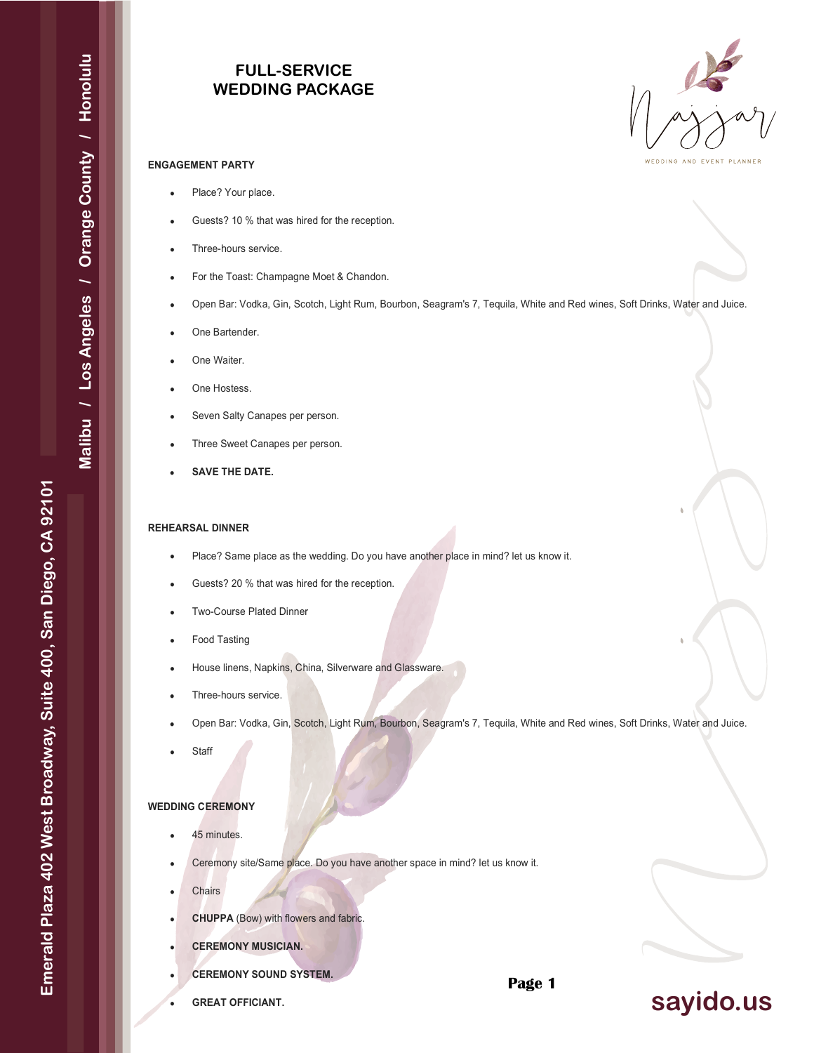# **FULL-SERVICE WEDDING PACKAGE**



#### **ENGAGEMENT PARTY**

- Place? Your place.
- Guests? 10 % that was hired for the reception.
- Three-hours service.
- For the Toast: Champagne Moet & Chandon.
- Open Bar: Vodka, Gin, Scotch, Light Rum, Bourbon, Seagram's 7, Tequila, White and Red wines, Soft Drinks, Water and Juice.
- One Bartender.
- One Waiter.
- One Hostess.
- Seven Salty Canapes per person.
- Three Sweet Canapes per person.
- **SAVE THE DATE.**

### **REHEARSAL DINNER**

- Place? Same place as the wedding. Do you have another place in mind? let us know it.
- Guests? 20 % that was hired for the reception.
- Two-Course Plated Dinner
- Food Tasting
- House linens, Napkins, China, Silverware and Glassware.
- Three-hours service.
- Open Bar: Vodka, Gin, Scotch, Light Rum, Bourbon, Seagram's 7, Tequila, White and Red wines, Soft Drinks, Water and Juice.
- **Staff**

## **WEDDING CEREMONY**

- 45 minutes.
- Ceremony site/Same place. Do you have another space in mind? let us know it.
- **Chairs**
- **CHUPPA** (Bow) with flowers and fabric.
- **CEREMONY MUSICIAN.**
- **CEREMONY SOUND SYSTEM.**
- **GREAT OFFICIANT.**

**Page 1**

# **sayido.us**

Emerald Plaza 402 West Broadway, Suite 400, San Diego, CA 92101 **Emerald Plaza 402 West Broadway, Suite 400, San Diego, CA 92101**